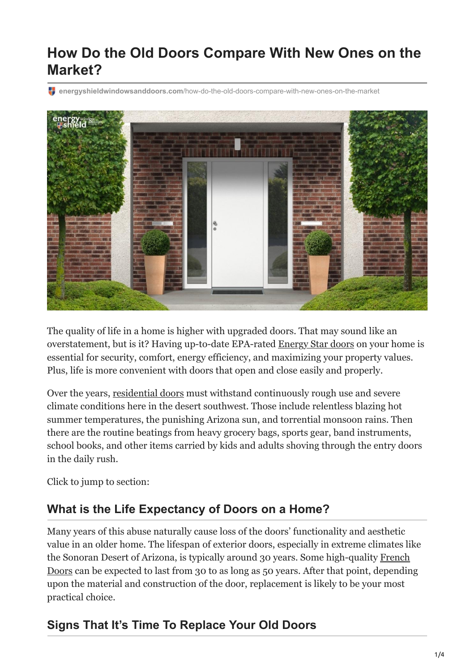# **How Do the Old Doors Compare With New Ones on the Market?**

**energyshieldwindowsanddoors.com**[/how-do-the-old-doors-compare-with-new-ones-on-the-market](https://energyshieldwindowsanddoors.com/how-do-the-old-doors-compare-with-new-ones-on-the-market/)



The quality of life in a home is higher with upgraded doors. That may sound like an overstatement, but is it? Having up-to-date EPA-rated [Energy Star doors](https://energyshieldwindowsanddoors.com/door-replacement-arizona/) on your home is essential for security, comfort, energy efficiency, and maximizing your property values. Plus, life is more convenient with doors that open and close easily and properly.

Over the years, [residential doors](https://energyshieldwindowsanddoors.com/gallery/) must withstand continuously rough use and severe climate conditions here in the desert southwest. Those include relentless blazing hot summer temperatures, the punishing Arizona sun, and torrential monsoon rains. Then there are the routine beatings from heavy grocery bags, sports gear, band instruments, school books, and other items carried by kids and adults shoving through the entry doors in the daily rush.

Click to jump to section:

### **What is the Life Expectancy of Doors on a Home?**

Many years of this abuse naturally cause loss of the doors' functionality and aesthetic value in an older home. The lifespan of exterior doors, especially in extreme climates like [the Sonoran Desert of Arizona, is typically around 30 years. Some high-quality French](https://energyshieldwindowsanddoors.com/exterior-french-door-installation-arizona/) Doors can be expected to last from 30 to as long as 50 years. After that point, depending upon the material and construction of the door, replacement is likely to be your most practical choice.

# **Signs That It's Time To Replace Your Old Doors**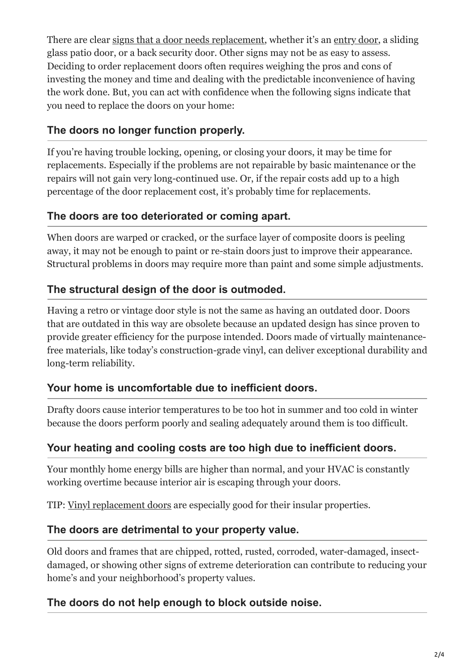There are clear [signs that a door needs replacement,](https://energyshieldwindowsanddoors.com/5-signs-that-youll-need-to-replace-your-sliding-glass-door-now/) whether it's an [entry door](https://energyshieldwindowsanddoors.com/what-to-know-before-installing-a-custom-entry-door-in-your-arizona-home/), a sliding glass patio door, or a back security door. Other signs may not be as easy to assess. Deciding to order replacement doors often requires weighing the pros and cons of investing the money and time and dealing with the predictable inconvenience of having the work done. But, you can act with confidence when the following signs indicate that you need to replace the doors on your home:

### **The doors no longer function properly.**

If you're having trouble locking, opening, or closing your doors, it may be time for replacements. Especially if the problems are not repairable by basic maintenance or the repairs will not gain very long-continued use. Or, if the repair costs add up to a high percentage of the door replacement cost, it's probably time for replacements.

#### **The doors are too deteriorated or coming apart.**

When doors are warped or cracked, or the surface layer of composite doors is peeling away, it may not be enough to paint or re-stain doors just to improve their appearance. Structural problems in doors may require more than paint and some simple adjustments.

#### **The structural design of the door is outmoded.**

Having a retro or vintage door style is not the same as having an outdated door. Doors that are outdated in this way are obsolete because an updated design has since proven to provide greater efficiency for the purpose intended. Doors made of virtually maintenancefree materials, like today's construction-grade vinyl, can deliver exceptional durability and long-term reliability.

#### **Your home is uncomfortable due to inefficient doors.**

Drafty doors cause interior temperatures to be too hot in summer and too cold in winter because the doors perform poorly and sealing adequately around them is too difficult.

#### **Your heating and cooling costs are too high due to inefficient doors.**

Your monthly home energy bills are higher than normal, and your HVAC is constantly working overtime because interior air is escaping through your doors.

TIP: [Vinyl replacement doors](https://energyshieldwindowsanddoors.com/vinyl-sliding-glass-doors/) are especially good for their insular properties.

### **The doors are detrimental to your property value.**

Old doors and frames that are chipped, rotted, rusted, corroded, water-damaged, insectdamaged, or showing other signs of extreme deterioration can contribute to reducing your home's and your neighborhood's property values.

#### **The doors do not help enough to block outside noise.**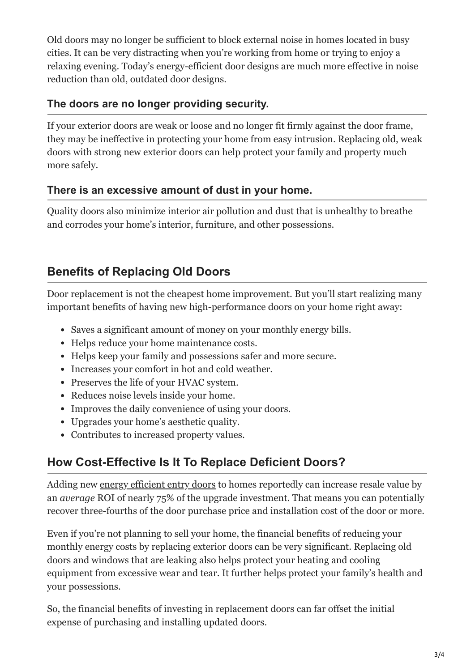Old doors may no longer be sufficient to block external noise in homes located in busy cities. It can be very distracting when you're working from home or trying to enjoy a relaxing evening. Today's energy-efficient door designs are much more effective in noise reduction than old, outdated door designs.

### **The doors are no longer providing security.**

If your exterior doors are weak or loose and no longer fit firmly against the door frame, they may be ineffective in protecting your home from easy intrusion. Replacing old, weak doors with strong new exterior doors can help protect your family and property much more safely.

#### **There is an excessive amount of dust in your home.**

Quality doors also minimize interior air pollution and dust that is unhealthy to breathe and corrodes your home's interior, furniture, and other possessions.

## **Benefits of Replacing Old Doors**

Door replacement is not the cheapest home improvement. But you'll start realizing many important benefits of having new high-performance doors on your home right away:

- Saves a significant amount of money on your monthly energy bills.
- Helps reduce your home maintenance costs.
- Helps keep your family and possessions safer and more secure.
- Increases your comfort in hot and cold weather.
- Preserves the life of your HVAC system.
- Reduces noise levels inside your home.
- Improves the daily convenience of using your doors.
- Upgrades your home's aesthetic quality.
- Contributes to increased property values.

# **How Cost-Effective Is It To Replace Deficient Doors?**

Adding new [energy efficient entry doors](https://energyshieldwindowsanddoors.com/entry-doors/) to homes reportedly can increase resale value by an *average* ROI of nearly 75% of the upgrade investment. That means you can potentially recover three-fourths of the door purchase price and installation cost of the door or more.

Even if you're not planning to sell your home, the financial benefits of reducing your monthly energy costs by replacing exterior doors can be very significant. Replacing old doors and windows that are leaking also helps protect your heating and cooling equipment from excessive wear and tear. It further helps protect your family's health and your possessions.

So, the financial benefits of investing in replacement doors can far offset the initial expense of purchasing and installing updated doors.